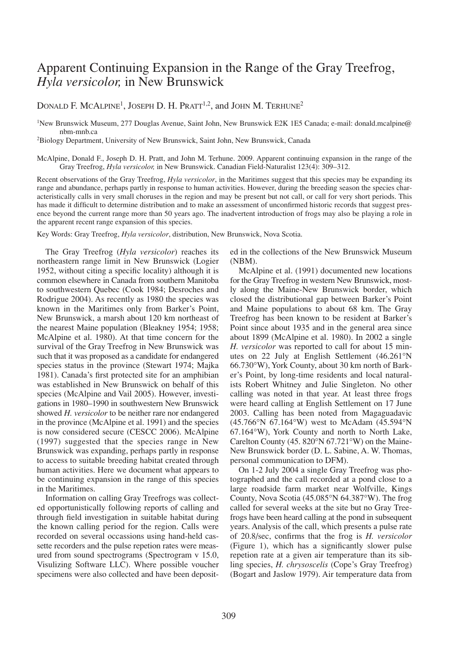## Apparent Continuing Expansion in the Range of the Gray Treefrog, *Hyla versicolor,* in New Brunswick

DONALD F. MCALPINE<sup>1</sup>, JOSEPH D. H. PRATT<sup>1,2</sup>, and JOHN M. TERHUNE<sup>2</sup>

<sup>1</sup>New Brunswick Museum, 277 Douglas Avenue, Saint John, New Brunswick E2K 1E5 Canada; e-mail: donald.mcalpine@ nbm-mnb.ca

2Biology Department, University of New Brunswick, Saint John, New Brunswick, Canada

McAlpine, Donald F., Joseph D. H. Pratt, and John M. Terhune. 2009. Apparent continuing expansion in the range of the Gray Treefrog, *Hyla versicolor,* in New Brunswick. Canadian Field-Naturalist 123(4): 309–312.

Recent observations of the Gray Treefrog, *Hyla versicolor*, in the Maritimes suggest that this species may be expanding its range and abundance, perhaps partly in response to human activities. However, during the breeding season the species characteristically calls in very small choruses in the region and may be present but not call, or call for very short periods. This has made it difficult to determine distribution and to make an assessment of unconfirmed historic records that suggest presence beyond the current range more than 50 years ago. The inadvertent introduction of frogs may also be playing a role in the apparent recent range expansion of this species.

Key Words: Gray Treefrog, *Hyla versicolor*, distribution, New Brunswick, Nova Scotia.

The Gray Treefrog (*Hyla versicolor*) reaches its northeastern range limit in New Brunswick (Logier 1952, without citing a specific locality) although it is common elsewhere in Canada from southern Manitoba to southwestern Quebec (Cook 1984; Desroches and Rodrigue 2004). As recently as 1980 the species was known in the Maritimes only from Barker's Point, New Brunswick, a marsh about 120 km northeast of the nearest Maine population (Bleakney 1954; 1958; McAlpine et al. 1980). At that time concern for the survival of the Gray Treefrog in New Brunswick was such that it was proposed as a candidate for endangered species status in the province (Stewart 1974; Majka 1981). Canada's first protected site for an amphibian was established in New Brunswick on behalf of this species (McAlpine and Vail 2005). However, investigations in 1980–1990 in southwestern New Brunswick showed *H. versicolor* to be neither rare nor endangered in the province (McAlpine et al. 1991) and the species is now considered secure (CESCC 2006). McAlpine (1997) suggested that the species range in New Brunswick was expanding, perhaps partly in response to access to suitable breeding habitat created through human activities. Here we document what appears to be continuing expansion in the range of this species in the Maritimes.

Information on calling Gray Treefrogs was collected opportunistically following reports of calling and through field investigation in suitable habitat during the known calling period for the region. Calls were recorded on several occassions using hand-held cassette recorders and the pulse repetion rates were measured from sound spectrograms (Spectrogram v 15.0, Visulizing Software LLC). Where possible voucher specimens were also collected and have been deposit-

ed in the collections of the New Brunswick Museum (NBM).

McAlpine et al. (1991) documented new locations for the Gray Treefrog in western New Brunswick, mostly along the Maine-New Brunswick border, which closed the distributional gap between Barker's Point and Maine populations to about 68 km. The Gray Treefrog has been known to be resident at Barker's Point since about 1935 and in the general area since about 1899 (McAlpine et al. 1980). In 2002 a single *H. versicolor* was reported to call for about 15 minutes on 22 July at English Settlement (46.261°N 66.730°W), York County, about 30 km north of Barker's Point, by long-time residents and local naturalists Robert Whitney and Julie Singleton. No other calling was noted in that year. At least three frogs were heard calling at English Settlement on 17 June 2003. Calling has been noted from Magaguadavic (45.766°N 67.164°W) west to McAdam (45.594°N 67.164°W), York County and north to North Lake, Carelton County (45. 820°N 67.721°W) on the Maine-New Brunswick border (D. L. Sabine, A. W. Thomas, personal communication to DFM).

On 1-2 July 2004 a single Gray Treefrog was photographed and the call recorded at a pond close to a large roadside farm market near Wolfville, Kings County, Nova Scotia (45.085°N 64.387°W). The frog called for several weeks at the site but no Gray Treefrogs have been heard calling at the pond in subsequent years. Analysis of the call, which presents a pulse rate of 20.8/sec, confirms that the frog is *H. versicolor* (Figure 1), which has a significantly slower pulse repetion rate at a given air temperature than its sibling species, *H. chrysoscelis* (Cope's Gray Treefrog) (Bogart and Jaslow 1979). Air temperature data from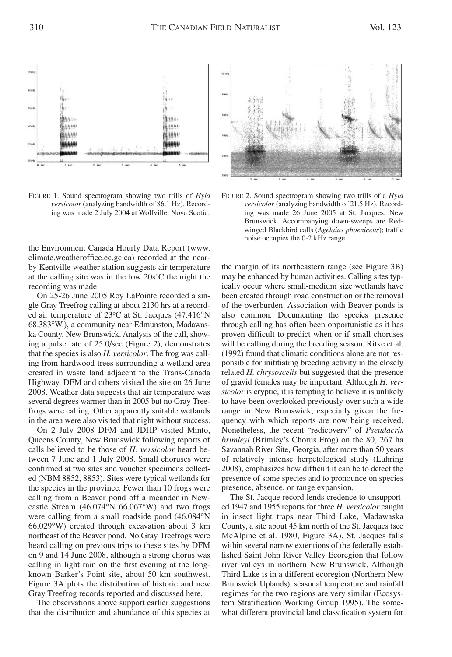

FIGURE 1. Sound spectrogram showing two trills of *Hyla versicolor* (analyzing bandwidth of 86.1 Hz). Recording was made 2 July 2004 at Wolfville, Nova Scotia.

the Environment Canada Hourly Data Report (www. climate.weatheroffice.ec.gc.ca) recorded at the nearby Kentville weather station suggests air temperature at the calling site was in the low  $20s^{\circ}C$  the night the recording was made.

On 25-26 June 2005 Roy LaPointe recorded a single Gray Treefrog calling at about 2130 hrs at a recorded air temperature of 23°C at St. Jacques (47.416°N 68.383°W.), a community near Edmunston, Madawaska County, New Brunswick. Analysis of the call, showing a pulse rate of 25.0/sec (Figure 2), demonstrates that the species is also *H. versicolor*. The frog was calling from hardwood trees surrounding a wetland area created in waste land adjacent to the Trans-Canada Highway. DFM and others visited the site on 26 June 2008. Weather data suggests that air temperature was several degrees warmer than in 2005 but no Gray Treefrogs were calling. Other apparently suitable wetlands in the area were also visited that night without success.

On 2 July 2008 DFM and JDHP visited Minto, Queens County, New Brunswick following reports of calls believed to be those of *H. versicolor* heard between 7 June and 1 July 2008. Small choruses were confirmed at two sites and voucher specimens collected (NBM 8852, 8853). Sites were typical wetlands for the species in the province. Fewer than 10 frogs were calling from a Beaver pond off a meander in Newcastle Stream (46.074°N 66.067°W) and two frogs were calling from a small roadside pond (46.084°N 66.029°W) created through excavation about 3 km northeast of the Beaver pond. No Gray Treefrogs were heard calling on previous trips to these sites by DFM on 9 and 14 June 2008, although a strong chorus was calling in light rain on the first evening at the longknown Barker's Point site, about 50 km southwest. Figure 3A plots the distribution of historic and new Gray Treefrog records reported and discussed here.

The observations above support earlier suggestions that the distribution and abundance of this species at



FIGURE 2. Sound spectrogram showing two trills of a *Hyla versicolor* (analyzing bandwidth of 21.5 Hz). Recording was made 26 June 2005 at St. Jacques, New Brunswick. Accompanying down-sweeps are Redwinged Blackbird calls (*Agelaius phoeniceus*); traffic noise occupies the 0-2 kHz range.

the margin of its northeastern range (see Figure 3B) may be enhanced by human activities. Calling sites typically occur where small-medium size wetlands have been created through road construction or the removal of the overburden. Association with Beaver ponds is also common. Documenting the species presence through calling has often been opportunistic as it has proven difficult to predict when or if small choruses will be calling during the breeding season. Ritke et al. (1992) found that climatic conditions alone are not responsible for inititiating breeding activity in the closely related *H. chrysoscelis* but suggested that the presence of gravid females may be important. Although *H. versicolor* is cryptic, it is tempting to believe it is unlikely to have been overlooked previously over such a wide range in New Brunswick, especially given the frequency with which reports are now being received. Nonetheless, the recent "redicovery" of *Pseudacris brimleyi* (Brimley's Chorus Frog) on the 80, 267 ha Savannah River Site, Georgia, after more than 50 years of relatively intense herpetological study (Luhring 2008), emphasizes how difficult it can be to detect the presence of some species and to pronounce on species presence, absence, or range expansion.

The St. Jacque record lends credence to unsupported 1947 and 1955 reports for three *H. versicolor* caught in insect light traps near Third Lake, Madawaska County, a site about 45 km north of the St. Jacques (see McAlpine et al. 1980, Figure 3A). St. Jacques falls within several narrow extentions of the federally established Saint John River Valley Ecoregion that follow river valleys in northern New Brunswick. Although Third Lake is in a different ecoregion (Northern New Brunswick Uplands), seasonal temperature and rainfall regimes for the two regions are very similar (Ecosystem Stratification Working Group 1995). The somewhat different provincial land classification system for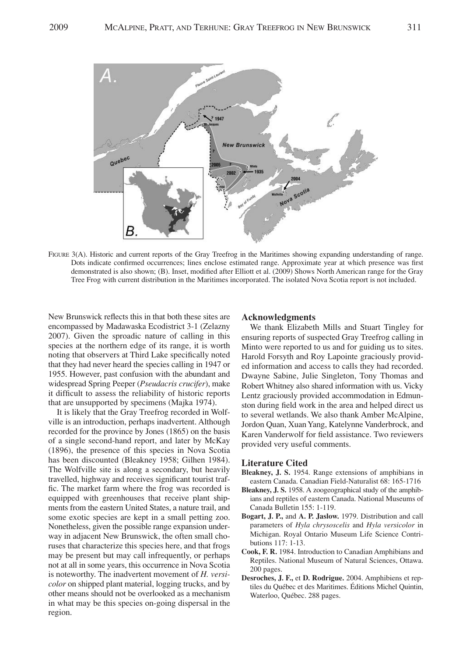

FIGURE 3(A). Historic and current reports of the Gray Treefrog in the Maritimes showing expanding understanding of range. Dots indicate confirmed occurrences; lines enclose estimated range. Approximate year at which presence was first demonstrated is also shown; (B). Inset, modified after Elliott et al. (2009) Shows North American range for the Gray Tree Frog with current distribution in the Maritimes incorporated. The isolated Nova Scotia report is not included.

New Brunswick reflects this in that both these sites are encompassed by Madawaska Ecodistrict 3-1 (Zelazny 2007). Given the sproadic nature of calling in this species at the northern edge of its range, it is worth noting that observers at Third Lake specifically noted that they had never heard the species calling in 1947 or 1955. However, past confusion with the abundant and widespread Spring Peeper (*Pseudacris crucifer*), make it difficult to assess the reliability of historic reports that are unsupported by specimens (Majka 1974).

It is likely that the Gray Treefrog recorded in Wolfville is an introduction, perhaps inadvertent. Although recorded for the province by Jones (1865) on the basis of a single second-hand report, and later by McKay (1896), the presence of this species in Nova Scotia has been discounted (Bleakney 1958; Gilhen 1984). The Wolfville site is along a secondary, but heavily travelled, highway and receives significant tourist traffic. The market farm where the frog was recorded is equipped with greenhouses that receive plant shipments from the eastern United States, a nature trail, and some exotic species are kept in a small petting zoo. Nonetheless, given the possible range expansion underway in adjacent New Brunswick, the often small choruses that characterize this species here, and that frogs may be present but may call infrequently, or perhaps not at all in some years, this occurrence in Nova Scotia is noteworthy. The inadvertent movement of *H. versicolor* on shipped plant material, logging trucks, and by other means should not be overlooked as a mechanism in what may be this species on-going dispersal in the region.

## **Acknowledgments**

We thank Elizabeth Mills and Stuart Tingley for ensuring reports of suspected Gray Treefrog calling in Minto were reported to us and for guiding us to sites. Harold Forsyth and Roy Lapointe graciously provided information and access to calls they had recorded. Dwayne Sabine, Julie Singleton, Tony Thomas and Robert Whitney also shared information with us. Vicky Lentz graciously provided accommodation in Edmunston during field work in the area and helped direct us to several wetlands. We also thank Amber McAlpine, Jordon Quan, XuanYang, Katelynne Vanderbrock, and Karen Vanderwolf for field assistance. Two reviewers provided very useful comments.

## **Literature Cited**

- **Bleakney, J. S.** 1954. Range extensions of amphibians in eastern Canada. Canadian Field-Naturalist 68: 165-1716
- **Bleakney, J. S.** 1958. A zoogeographical study of the amphibians and reptiles of eastern Canada. National Museums of Canada Bulletin 155: 1-119.
- **Bogart, J. P.,** and **A. P. Jaslow.** 1979. Distribution and call parameters of *Hyla chrysoscelis* and *Hyla versicolor* in Michigan. Royal Ontario Museum Life Science Contributions 117: 1-13.
- **Cook, F. R.** 1984. Introduction to Canadian Amphibians and Reptiles. National Museum of Natural Sciences, Ottawa. 200 pages.
- **Desroches, J. F.,** et **D. Rodrigue.** 2004. Amphibiens et reptiles du Québec et des Maritimes. Éditions Michel Quintin, Waterloo, Québec. 288 pages.